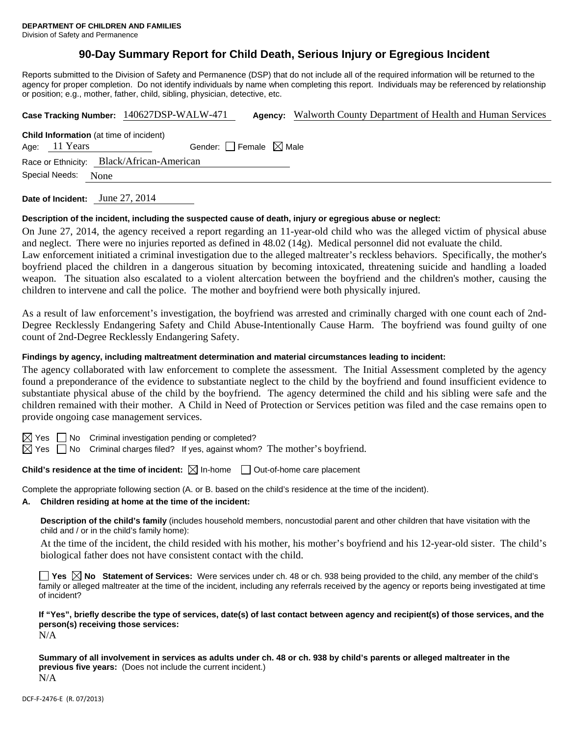## **90-Day Summary Report for Child Death, Serious Injury or Egregious Incident**

Reports submitted to the Division of Safety and Permanence (DSP) that do not include all of the required information will be returned to the agency for proper completion. Do not identify individuals by name when completing this report. Individuals may be referenced by relationship or position; e.g., mother, father, child, sibling, physician, detective, etc.

|                                                | Case Tracking Number: 140627DSP-WALW-471  | Agency: Walworth County Department of Health and Human Services |  |  |
|------------------------------------------------|-------------------------------------------|-----------------------------------------------------------------|--|--|
| <b>Child Information</b> (at time of incident) |                                           |                                                                 |  |  |
| Age: 11 Years                                  | Gender: $\Box$ Female $\boxtimes$ Male    |                                                                 |  |  |
|                                                | Race or Ethnicity: Black/African-American |                                                                 |  |  |
| Special Needs:<br>None                         |                                           |                                                                 |  |  |
| Date of Incident:                              | June 27, 2014                             |                                                                 |  |  |

# **Description of the incident, including the suspected cause of death, injury or egregious abuse or neglect:**

On June 27, 2014, the agency received a report regarding an 11-year-old child who was the alleged victim of physical abuse and neglect. There were no injuries reported as defined in 48.02 (14g). Medical personnel did not evaluate the child. Law enforcement initiated a criminal investigation due to the alleged maltreater's reckless behaviors. Specifically, the mother's boyfriend placed the children in a dangerous situation by becoming intoxicated, threatening suicide and handling a loaded weapon. The situation also escalated to a violent altercation between the boyfriend and the children's mother, causing the children to intervene and call the police. The mother and boyfriend were both physically injured.

As a result of law enforcement's investigation, the boyfriend was arrested and criminally charged with one count each of 2nd-Degree Recklessly Endangering Safety and Child Abuse-Intentionally Cause Harm. The boyfriend was found guilty of one count of 2nd-Degree Recklessly Endangering Safety.

#### **Findings by agency, including maltreatment determination and material circumstances leading to incident:**

The agency collaborated with law enforcement to complete the assessment. The Initial Assessment completed by the agency found a preponderance of the evidence to substantiate neglect to the child by the boyfriend and found insufficient evidence to substantiate physical abuse of the child by the boyfriend. The agency determined the child and his sibling were safe and the children remained with their mother. A Child in Need of Protection or Services petition was filed and the case remains open to provide ongoing case management services.

 $\boxtimes$  Yes  $\Box$  No Criminal investigation pending or completed?

 $\boxtimes$  Yes  $\Box$  No Criminal charges filed? If yes, against whom? The mother's boyfriend.

**Child's residence at the time of incident:**  $\boxtimes$  In-home  $\Box$  Out-of-home care placement

Complete the appropriate following section (A. or B. based on the child's residence at the time of the incident).

#### **A. Children residing at home at the time of the incident:**

**Description of the child's family** (includes household members, noncustodial parent and other children that have visitation with the child and / or in the child's family home):

 At the time of the incident, the child resided with his mother, his mother's boyfriend and his 12-year-old sister. The child's biological father does not have consistent contact with the child.

**Yes**  $\boxtimes$  **No** Statement of Services: Were services under ch. 48 or ch. 938 being provided to the child, any member of the child's family or alleged maltreater at the time of the incident, including any referrals received by the agency or reports being investigated at time of incident?

**If "Yes", briefly describe the type of services, date(s) of last contact between agency and recipient(s) of those services, and the person(s) receiving those services:** 

N/A

**Summary of all involvement in services as adults under ch. 48 or ch. 938 by child's parents or alleged maltreater in the previous five years:** (Does not include the current incident.) N/A